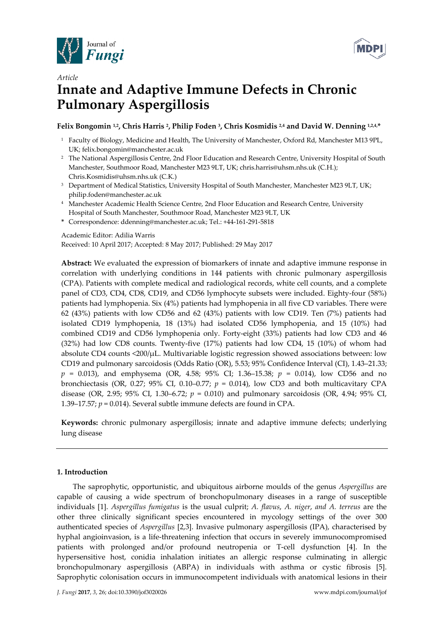



# *Article*  **Innate and Adaptive Immune Defects in Chronic Pulmonary Aspergillosis**

# Felix Bongomin <sup>1,2</sup>, Chris Harris <sup>2</sup>, Philip Foden <sup>3</sup>, Chris Kosmidis <sup>2,4</sup> and David W. Denning <sup>1,2,4,\*</sup>

- 1 Faculty of Biology, Medicine and Health, The University of Manchester, Oxford Rd, Manchester M13 9PL, UK; felix.bongomin@manchester.ac.uk
- <sup>2</sup> The National Aspergillosis Centre, 2nd Floor Education and Research Centre, University Hospital of South Manchester, Southmoor Road, Manchester M23 9LT, UK; chris.harris@uhsm.nhs.uk (C.H.); Chris.Kosmidis@uhsm.nhs.uk (C.K.)
- <sup>3</sup> Department of Medical Statistics, University Hospital of South Manchester, Manchester M23 9LT, UK; philip.foden@manchester.ac.uk
- 4 Manchester Academic Health Science Centre, 2nd Floor Education and Research Centre, University Hospital of South Manchester, Southmoor Road, Manchester M23 9LT, UK
- **\*** Correspondence: ddenning@manchester.ac.uk; Tel.: +44-161-291-5818

Academic Editor: Adilia Warris

Received: 10 April 2017; Accepted: 8 May 2017; Published: 29 May 2017

**Abstract:** We evaluated the expression of biomarkers of innate and adaptive immune response in correlation with underlying conditions in 144 patients with chronic pulmonary aspergillosis (CPA). Patients with complete medical and radiological records, white cell counts, and a complete panel of CD3, CD4, CD8, CD19, and CD56 lymphocyte subsets were included. Eighty-four (58%) patients had lymphopenia. Six (4%) patients had lymphopenia in all five CD variables. There were 62 (43%) patients with low CD56 and 62 (43%) patients with low CD19. Ten (7%) patients had isolated CD19 lymphopenia, 18 (13%) had isolated CD56 lymphopenia, and 15 (10%) had combined CD19 and CD56 lymphopenia only. Forty-eight (33%) patients had low CD3 and 46 (32%) had low CD8 counts. Twenty-five (17%) patients had low CD4, 15 (10%) of whom had absolute CD4 counts <200/μL. Multivariable logistic regression showed associations between: low CD19 and pulmonary sarcoidosis (Odds Ratio (OR), 5.53; 95% Confidence Interval (CI), 1.43–21.33; *p* = 0.013), and emphysema (OR, 4.58; 95% CI; 1.36–15.38; *p* = 0.014), low CD56 and no bronchiectasis (OR, 0.27; 95% CI, 0.10–0.77;  $p = 0.014$ ), low CD3 and both multicavitary CPA disease (OR, 2.95; 95% CI, 1.30–6.72; *p* = 0.010) and pulmonary sarcoidosis (OR, 4.94; 95% CI, 1.39–17.57;  $p = 0.014$ ). Several subtle immune defects are found in CPA.

**Keywords:** chronic pulmonary aspergillosis; innate and adaptive immune defects; underlying lung disease

# **1. Introduction**

The saprophytic, opportunistic, and ubiquitous airborne moulds of the genus *Aspergillus* are capable of causing a wide spectrum of bronchopulmonary diseases in a range of susceptible individuals [1]. *Aspergillus fumigatus* is the usual culprit; *A. flavus*, *A. niger*, *and A. terreus* are the other three clinically significant species encountered in mycology settings of the over 300 authenticated species of *Aspergillus* [2,3]. Invasive pulmonary aspergillosis (IPA), characterised by hyphal angioinvasion, is a life-threatening infection that occurs in severely immunocompromised patients with prolonged and/or profound neutropenia or T-cell dysfunction [4]. In the hypersensitive host, conidia inhalation initiates an allergic response culminating in allergic bronchopulmonary aspergillosis (ABPA) in individuals with asthma or cystic fibrosis [5]. Saprophytic colonisation occurs in immunocompetent individuals with anatomical lesions in their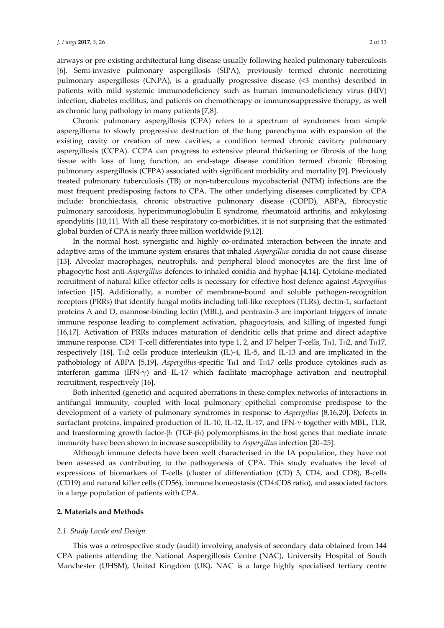airways or pre-existing architectural lung disease usually following healed pulmonary tuberculosis [6]. Semi-invasive pulmonary aspergillosis (SIPA), previously termed chronic necrotizing pulmonary aspergillosis (CNPA), is a gradually progressive disease (<3 months) described in patients with mild systemic immunodeficiency such as human immunodeficiency virus (HIV) infection, diabetes mellitus, and patients on chemotherapy or immunosuppressive therapy, as well as chronic lung pathology in many patients [7,8].

Chronic pulmonary aspergillosis (CPA) refers to a spectrum of syndromes from simple aspergilloma to slowly progressive destruction of the lung parenchyma with expansion of the existing cavity or creation of new cavities, a condition termed chronic cavitary pulmonary aspergillosis (CCPA). CCPA can progress to extensive pleural thickening or fibrosis of the lung tissue with loss of lung function, an end-stage disease condition termed chronic fibrosing pulmonary aspergillosis (CFPA) associated with significant morbidity and mortality [9]. Previously treated pulmonary tuberculosis (TB) or non-tuberculous mycobacterial (NTM) infections are the most frequent predisposing factors to CPA. The other underlying diseases complicated by CPA include: bronchiectasis, chronic obstructive pulmonary disease (COPD), ABPA, fibrocystic pulmonary sarcoidosis, hyperimmunoglobulin E syndrome, rheumatoid arthritis, and ankylosing spondylitis [10,11]. With all these respiratory co-morbidities, it is not surprising that the estimated global burden of CPA is nearly three million worldwide [9,12].

In the normal host, synergistic and highly co-ordinated interaction between the innate and adaptive arms of the immune system ensures that inhaled *Aspergillus* conidia do not cause disease [13]. Alveolar macrophages, neutrophils, and peripheral blood monocytes are the first line of phagocytic host anti-*Aspergillus* defences to inhaled conidia and hyphae [4,14]. Cytokine-mediated recruitment of natural killer effector cells is necessary for effective host defence against *Aspergillus* infection [15]. Additionally, a number of membrane-bound and soluble pathogen-recognition receptors (PRRs) that identify fungal motifs including toll-like receptors (TLRs), dectin-1, surfactant proteins A and D, mannose-binding lectin (MBL), and pentraxin-3 are important triggers of innate immune response leading to complement activation, phagocytosis, and killing of ingested fungi [16,17]. Activation of PRRs induces maturation of dendritic cells that prime and direct adaptive immune response. CD4<sup>+</sup> T-cell differentiates into type 1, 2, and 17 helper T-cells, T<sub>H</sub>1, T<sub>H</sub>2, and T<sub>H</sub>17, respectively [18]. T<sub>H2</sub> cells produce interleukin (IL)-4, IL-5, and IL-13 and are implicated in the pathobiology of ABPA [5,19]. *Aspergillus-specific* T<sub>H</sub>1 and T<sub>H</sub>17 cells produce cytokines such as interferon gamma (IFN- $\gamma$ ) and IL-17 which facilitate macrophage activation and neutrophil recruitment, respectively [16].

Both inherited (genetic) and acquired aberrations in these complex networks of interactions in antifungal immunity, coupled with local pulmonary epithelial compromise predispose to the development of a variety of pulmonary syndromes in response to *Aspergillus* [8,16,20]. Defects in surfactant proteins, impaired production of IL-10, IL-12, IL-17, and IFN-γ together with MBL, TLR, and transforming growth factor-β1 (TGF-β1) polymorphisms in the host genes that mediate innate immunity have been shown to increase susceptibility to *Aspergillus* infection [20–25].

Although immune defects have been well characterised in the IA population, they have not been assessed as contributing to the pathogenesis of CPA. This study evaluates the level of expressions of biomarkers of T-cells (cluster of differentiation (CD) 3, CD4, and CD8), B-cells (CD19) and natural killer cells (CD56), immune homeostasis (CD4:CD8 ratio), and associated factors in a large population of patients with CPA.

# **2. Materials and Methods**

# *2.1. Study Locale and Design*

This was a retrospective study (audit) involving analysis of secondary data obtained from 144 CPA patients attending the National Aspergillosis Centre (NAC), University Hospital of South Manchester (UHSM), United Kingdom (UK). NAC is a large highly specialised tertiary centre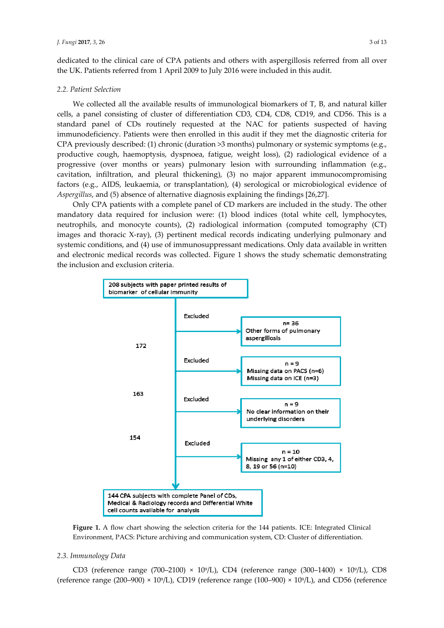dedicated to the clinical care of CPA patients and others with aspergillosis referred from all over the UK. Patients referred from 1 April 2009 to July 2016 were included in this audit.

#### *2.2. Patient Selection*

We collected all the available results of immunological biomarkers of T, B, and natural killer cells, a panel consisting of cluster of differentiation CD3, CD4, CD8, CD19, and CD56. This is a standard panel of CDs routinely requested at the NAC for patients suspected of having immunodeficiency. Patients were then enrolled in this audit if they met the diagnostic criteria for CPA previously described: (1) chronic (duration >3 months) pulmonary or systemic symptoms (e.g., productive cough, haemoptysis, dyspnoea, fatigue, weight loss), (2) radiological evidence of a progressive (over months or years) pulmonary lesion with surrounding inflammation (e.g., cavitation, infiltration, and pleural thickening), (3) no major apparent immunocompromising factors (e.g., AIDS, leukaemia, or transplantation), (4) serological or microbiological evidence of *Aspergillus*, and (5) absence of alternative diagnosis explaining the findings [26,27].

Only CPA patients with a complete panel of CD markers are included in the study. The other mandatory data required for inclusion were: (1) blood indices (total white cell, lymphocytes, neutrophils, and monocyte counts), (2) radiological information (computed tomography (CT) images and thoracic X-ray), (3) pertinent medical records indicating underlying pulmonary and systemic conditions, and (4) use of immunosuppressant medications. Only data available in written and electronic medical records was collected. Figure 1 shows the study schematic demonstrating the inclusion and exclusion criteria.



**Figure 1.** A flow chart showing the selection criteria for the 144 patients. ICE: Integrated Clinical Environment, PACS: Picture archiving and communication system, CD: Cluster of differentiation.

# *2.3. Immunology Data*

CD3 (reference range  $(700-2100) \times 10^{9}$ /L), CD4 (reference range  $(300-1400) \times 10^{9}$ /L), CD8 (reference range (200–900)  $\times$  10<sup>9</sup>/L), CD19 (reference range (100–900)  $\times$  10<sup>9</sup>/L), and CD56 (reference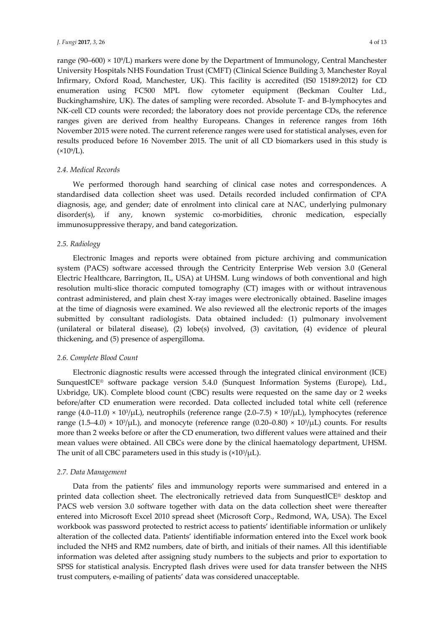range (90–600)  $\times$  10<sup>9</sup>/L) markers were done by the Department of Immunology, Central Manchester University Hospitals NHS Foundation Trust (CMFT) (Clinical Science Building 3, Manchester Royal Infirmary, Oxford Road, Manchester, UK). This facility is accredited (IS0 15189:2012) for CD enumeration using FC500 MPL flow cytometer equipment (Beckman Coulter Ltd., Buckinghamshire, UK). The dates of sampling were recorded. Absolute T- and B-lymphocytes and NK-cell CD counts were recorded; the laboratory does not provide percentage CDs, the reference ranges given are derived from healthy Europeans. Changes in reference ranges from 16th November 2015 were noted. The current reference ranges were used for statistical analyses, even for results produced before 16 November 2015. The unit of all CD biomarkers used in this study is  $(x10^{9}/L)$ .

# *2.4. Medical Records*

We performed thorough hand searching of clinical case notes and correspondences. A standardised data collection sheet was used. Details recorded included confirmation of CPA diagnosis, age, and gender; date of enrolment into clinical care at NAC, underlying pulmonary disorder(s), if any, known systemic co-morbidities, chronic medication, especially immunosuppressive therapy, and band categorization.

# *2.5. Radiology*

Electronic Images and reports were obtained from picture archiving and communication system (PACS) software accessed through the Centricity Enterprise Web version 3.0 (General Electric Healthcare, Barrington, IL, USA) at UHSM. Lung windows of both conventional and high resolution multi-slice thoracic computed tomography (CT) images with or without intravenous contrast administered, and plain chest X-ray images were electronically obtained. Baseline images at the time of diagnosis were examined. We also reviewed all the electronic reports of the images submitted by consultant radiologists. Data obtained included: (1) pulmonary involvement (unilateral or bilateral disease), (2) lobe(s) involved, (3) cavitation, (4) evidence of pleural thickening, and (5) presence of aspergilloma.

# *2.6. Complete Blood Count*

Electronic diagnostic results were accessed through the integrated clinical environment (ICE) SunquestICE® software package version 5.4.0 (Sunquest Information Systems (Europe), Ltd., Uxbridge, UK). Complete blood count (CBC) results were requested on the same day or 2 weeks before/after CD enumeration were recorded. Data collected included total white cell (reference range  $(4.0-11.0) \times 10^{3}/\mu$ L), neutrophils (reference range  $(2.0-7.5) \times 10^{3}/\mu$ L), lymphocytes (reference range  $(1.5-4.0) \times 10^{3}/\mu$ L), and monocyte (reference range  $(0.20-0.80) \times 10^{3}/\mu$ L) counts. For results more than 2 weeks before or after the CD enumeration, two different values were attained and their mean values were obtained. All CBCs were done by the clinical haematology department, UHSM. The unit of all CBC parameters used in this study is  $(x10<sup>3</sup>/\mu L)$ .

# *2.7. Data Management*

Data from the patients' files and immunology reports were summarised and entered in a printed data collection sheet. The electronically retrieved data from SunquestICE® desktop and PACS web version 3.0 software together with data on the data collection sheet were thereafter entered into Microsoft Excel 2010 spread sheet (Microsoft Corp., Redmond, WA, USA). The Excel workbook was password protected to restrict access to patients' identifiable information or unlikely alteration of the collected data. Patients' identifiable information entered into the Excel work book included the NHS and RM2 numbers, date of birth, and initials of their names. All this identifiable information was deleted after assigning study numbers to the subjects and prior to exportation to SPSS for statistical analysis. Encrypted flash drives were used for data transfer between the NHS trust computers, e-mailing of patients' data was considered unacceptable.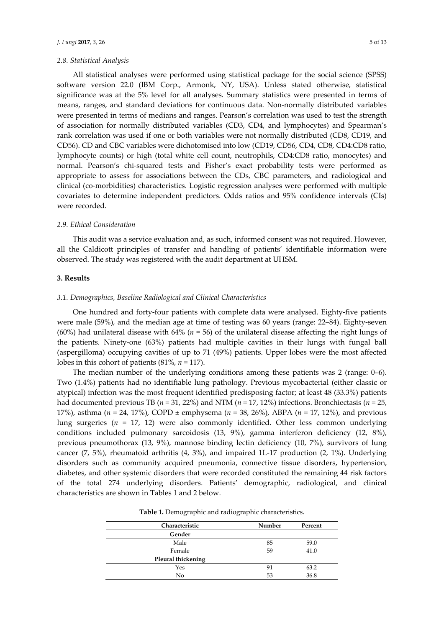All statistical analyses were performed using statistical package for the social science (SPSS) software version 22.0 (IBM Corp., Armonk, NY, USA). Unless stated otherwise, statistical significance was at the 5% level for all analyses. Summary statistics were presented in terms of means, ranges, and standard deviations for continuous data. Non-normally distributed variables were presented in terms of medians and ranges. Pearson's correlation was used to test the strength of association for normally distributed variables (CD3, CD4, and lymphocytes) and Spearman's rank correlation was used if one or both variables were not normally distributed (CD8, CD19, and CD56). CD and CBC variables were dichotomised into low (CD19, CD56, CD4, CD8, CD4:CD8 ratio, lymphocyte counts) or high (total white cell count, neutrophils, CD4:CD8 ratio, monocytes) and normal. Pearson's chi-squared tests and Fisher's exact probability tests were performed as appropriate to assess for associations between the CDs, CBC parameters, and radiological and clinical (co-morbidities) characteristics. Logistic regression analyses were performed with multiple covariates to determine independent predictors. Odds ratios and 95% confidence intervals (CIs) were recorded.

# *2.9. Ethical Consideration*

This audit was a service evaluation and, as such, informed consent was not required. However, all the Caldicott principles of transfer and handling of patients' identifiable information were observed. The study was registered with the audit department at UHSM.

# **3. Results**

# *3.1. Demographics, Baseline Radiological and Clinical Characteristics*

One hundred and forty-four patients with complete data were analysed. Eighty-five patients were male (59%), and the median age at time of testing was 60 years (range: 22–84). Eighty-seven (60%) had unilateral disease with 64% (*n* = 56) of the unilateral disease affecting the right lungs of the patients. Ninety-one (63%) patients had multiple cavities in their lungs with fungal ball (aspergilloma) occupying cavities of up to 71 (49%) patients. Upper lobes were the most affected lobes in this cohort of patients (81%, *n* = 117).

The median number of the underlying conditions among these patients was 2 (range: 0–6). Two (1.4%) patients had no identifiable lung pathology. Previous mycobacterial (either classic or atypical) infection was the most frequent identified predisposing factor; at least 48 (33.3%) patients had documented previous TB (*n* = 31, 22%) and NTM (*n* = 17, 12%) infections. Bronchiectasis (*n* = 25, 17%), asthma (*n* = 24, 17%), COPD ± emphysema (*n* = 38, 26%), ABPA (*n* = 17, 12%), and previous lung surgeries (*n* = 17, 12) were also commonly identified. Other less common underlying conditions included pulmonary sarcoidosis (13, 9%), gamma interferon deficiency (12, 8%), previous pneumothorax (13, 9%), mannose binding lectin deficiency (10, 7%), survivors of lung cancer (7, 5%), rheumatoid arthritis (4, 3%), and impaired 1L-17 production (2, 1%). Underlying disorders such as community acquired pneumonia, connective tissue disorders, hypertension, diabetes, and other systemic disorders that were recorded constituted the remaining 44 risk factors of the total 274 underlying disorders. Patients' demographic, radiological, and clinical characteristics are shown in Tables 1 and 2 below.

**Table 1.** Demographic and radiographic characteristics.

| Characteristic     | Number | Percent |
|--------------------|--------|---------|
| Gender             |        |         |
| Male               | 85     | 59.0    |
| Female             | 59     | 41.0    |
| Pleural thickening |        |         |
| Yes                | 91     | 63.2    |
| No                 | 53     | 36.8    |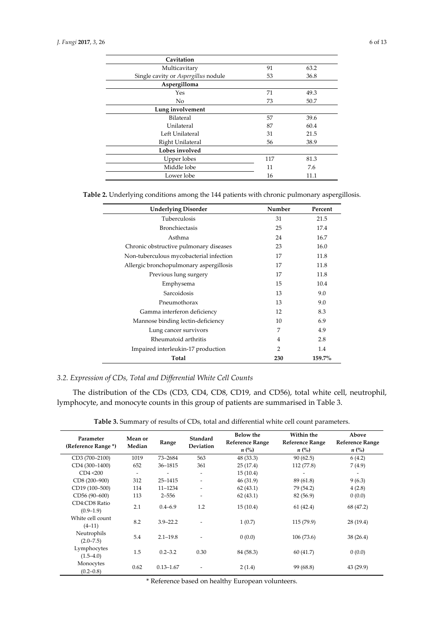| Cavitation                          |     |      |
|-------------------------------------|-----|------|
| Multicavitary                       | 91  | 63.2 |
| Single cavity or Aspergillus nodule | 53  | 36.8 |
| Aspergilloma                        |     |      |
| Yes                                 | 71  | 49.3 |
| N <sub>o</sub>                      | 73  | 50.7 |
| Lung involvement                    |     |      |
| Bilateral                           | 57  | 39.6 |
| Unilateral                          | 87  | 60.4 |
| Left Unilateral                     | 31  | 21.5 |
| Right Unilateral                    | 56  | 38.9 |
| Lobes involved                      |     |      |
| Upper lobes                         | 117 | 81.3 |
| Middle lobe                         | 11  | 7.6  |
| Lower lobe                          | 16  | 11.1 |

**Table 2.** Underlying conditions among the 144 patients with chronic pulmonary aspergillosis.

| <b>Underlying Disorder</b>              | Number | Percent |
|-----------------------------------------|--------|---------|
| Tuberculosis                            | 31     | 21.5    |
| <b>Bronchiectasis</b>                   | 25     | 17.4    |
| Asthma                                  | 24     | 16.7    |
| Chronic obstructive pulmonary diseases  | 23     | 16.0    |
| Non-tuberculous mycobacterial infection | 17     | 11.8    |
| Allergic bronchopulmonary aspergillosis | 17     | 11.8    |
| Previous lung surgery                   | 17     | 11.8    |
| Emphysema                               | 15     | 10.4    |
| Sarcoidosis                             | 13     | 9.0     |
| Pneumothorax                            | 13     | 9.0     |
| Gamma interferon deficiency             | 12     | 8.3     |
| Mannose binding lectin-deficiency       | 10     | 6.9     |
| Lung cancer survivors                   | 7      | 4.9     |
| Rheumatoid arthritis                    | 4      | 2.8     |
| Impaired interleukin-17 production      | 2      | 1.4     |
| Total                                   | 230    | 159.7%  |

# *3.2. Expression of CDs, Total and Differential White Cell Counts*

The distribution of the CDs (CD3, CD4, CD8, CD19, and CD56), total white cell, neutrophil, lymphocyte, and monocyte counts in this group of patients are summarised in Table 3.

| Table 3. Summary of results of CDs, total and differential white cell count parameters. |  |  |  |  |  |
|-----------------------------------------------------------------------------------------|--|--|--|--|--|
|-----------------------------------------------------------------------------------------|--|--|--|--|--|

| Parameter<br>(Reference Range *) | Mean or<br>Median | Range         | Standard<br><b>Deviation</b> | <b>Below the</b><br><b>Reference Range</b><br>$n\ (\%)$ | Within the<br><b>Reference Range</b><br>$n\ (\%)$ | Above<br><b>Reference Range</b><br>$n\ (\%)$ |
|----------------------------------|-------------------|---------------|------------------------------|---------------------------------------------------------|---------------------------------------------------|----------------------------------------------|
| CD3 (700-2100)                   | 1019              | 73-2684       | 563                          | 48 (33.3)                                               | 90(62.5)                                          | 6(4.2)                                       |
| CD4 (300-1400)                   | 652               | 36-1815       | 361                          | 25(17.4)                                                | 112 (77.8)                                        | 7(4.9)                                       |
| CD4 < 200                        |                   |               | $\overline{\phantom{a}}$     | 15(10.4)                                                |                                                   |                                              |
| CD8 (200-900)                    | 312               | 25-1415       | $\overline{\phantom{0}}$     | 46 (31.9)                                               | 89 (61.8)                                         | 9(6.3)                                       |
| CD19 (100-500)                   | 114               | $11 - 1234$   | $\overline{\phantom{a}}$     | 62(43.1)                                                | 79 (54.2)                                         | 4(2.8)                                       |
| CD56 (90-600)                    | 113               | $2 - 556$     | $\overline{\phantom{a}}$     | 62(43.1)                                                | 82 (56.9)                                         | 0(0.0)                                       |
| CD4:CD8 Ratio<br>$(0.9-1.9)$     | 2.1               | $0.4 - 6.9$   | 1.2                          | 15(10.4)                                                | 61(42.4)                                          | 68 (47.2)                                    |
| White cell count<br>$(4-11)$     | 8.2               | $3.9 - 22.2$  |                              | 1(0.7)                                                  | 115(79.9)                                         | 28 (19.4)                                    |
| Neutrophils<br>$(2.0 - 7.5)$     | 5.4               | $2.1 - 19.8$  |                              | 0(0.0)                                                  | 106(73.6)                                         | 38(26.4)                                     |
| Lymphocytes<br>$(1.5-4.0)$       | 1.5               | $0.2 - 3.2$   | 0.30                         | 84 (58.3)                                               | 60(41.7)                                          | 0(0.0)                                       |
| Monocytes<br>$(0.2 - 0.8)$       | 0.62              | $0.13 - 1.67$ |                              | 2(1.4)                                                  | 99 (68.8)                                         | 43 (29.9)                                    |

\* Reference based on healthy European volunteers.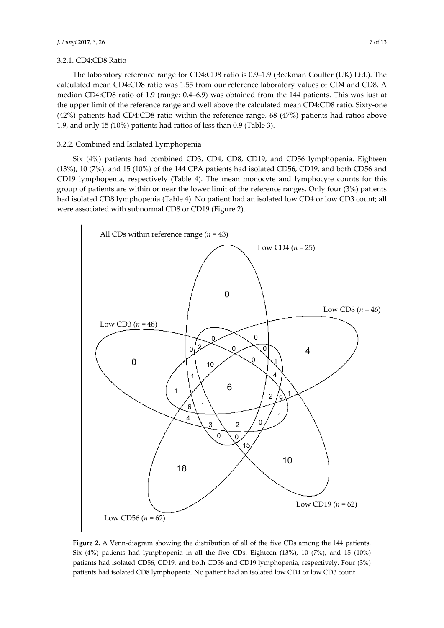#### 3.2.1. CD4:CD8 Ratio

The laboratory reference range for CD4:CD8 ratio is 0.9–1.9 (Beckman Coulter (UK) Ltd.). The calculated mean CD4:CD8 ratio was 1.55 from our reference laboratory values of CD4 and CD8. A median CD4:CD8 ratio of 1.9 (range: 0.4–6.9) was obtained from the 144 patients. This was just at the upper limit of the reference range and well above the calculated mean CD4:CD8 ratio. Sixty-one (42%) patients had CD4:CD8 ratio within the reference range, 68 (47%) patients had ratios above 1.9, and only 15 (10%) patients had ratios of less than 0.9 (Table 3).

## 3.2.2. Combined and Isolated Lymphopenia

Six (4%) patients had combined CD3, CD4, CD8, CD19, and CD56 lymphopenia. Eighteen (13%), 10 (7%), and 15 (10%) of the 144 CPA patients had isolated CD56, CD19, and both CD56 and CD19 lymphopenia, respectively (Table 4). The mean monocyte and lymphocyte counts for this group of patients are within or near the lower limit of the reference ranges. Only four (3%) patients had isolated CD8 lymphopenia (Table 4). No patient had an isolated low CD4 or low CD3 count; all were associated with subnormal CD8 or CD19 (Figure 2).



**Figure 2.** A Venn-diagram showing the distribution of all of the five CDs among the 144 patients. Six (4%) patients had lymphopenia in all the five CDs. Eighteen (13%), 10 (7%), and 15 (10%) patients had isolated CD56, CD19, and both CD56 and CD19 lymphopenia, respectively. Four (3%) patients had isolated CD8 lymphopenia. No patient had an isolated low CD4 or low CD3 count.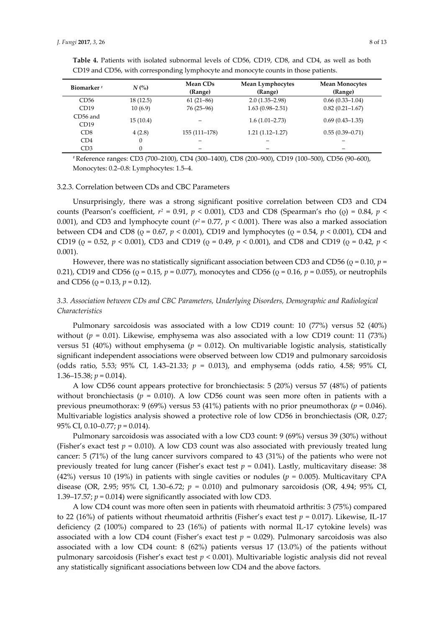| Biomarker <sup>#</sup> | $N$ (%)  | <b>Mean CDs</b><br>(Range) | <b>Mean Lymphocytes</b><br>(Range) | <b>Mean Monocytes</b><br>(Range) |
|------------------------|----------|----------------------------|------------------------------------|----------------------------------|
| CD56                   | 18(12.5) | $61(21-86)$                | $2.0(1.35-2.98)$                   | $0.66(0.33 - 1.04)$              |
| CD19                   | 10(6.9)  | $76(25-96)$                | $1.63(0.98 - 2.51)$                | $0.82(0.21 - 1.67)$              |
| CD56 and<br>CD19       | 15(10.4) |                            | $1.6(1.01-2.73)$                   | $0.69(0.43 - 1.35)$              |
| CD8                    | 4(2.8)   | 155 (111-178)              | $1.21(1.12 - 1.27)$                | $0.55(0.39 - 0.71)$              |
| CD4                    | 0        |                            |                                    |                                  |
| CD3                    | $\theta$ | -                          |                                    |                                  |

**Table 4.** Patients with isolated subnormal levels of CD56, CD19, CD8, and CD4, as well as both CD19 and CD56, with corresponding lymphocyte and monocyte counts in those patients.

# Reference ranges: CD3 (700–2100), CD4 (300–1400), CD8 (200–900), CD19 (100–500), CD56 (90–600), Monocytes: 0.2–0.8: Lymphocytes: 1.5–4.

# 3.2.3. Correlation between CDs and CBC Parameters

Unsurprisingly, there was a strong significant positive correlation between CD3 and CD4 counts (Pearson's coefficient, *r2* = 0.91, *p* < 0.001), CD3 and CD8 (Spearman's rho (ρ) = 0.84, *p* < 0.001), and CD3 and lymphocyte count ( $r^2$  = 0.77,  $p < 0.001$ ). There was also a marked association between CD4 and CD8 (ρ = 0.67, *p* < 0.001), CD19 and lymphocytes (ρ = 0.54, *p* < 0.001), CD4 and CD19 (ρ = 0.52, *p* < 0.001), CD3 and CD19 (ρ = 0.49, *p* < 0.001), and CD8 and CD19 (ρ = 0.42, *p* < 0.001).

However, there was no statistically significant association between CD3 and CD56 ( $\rho$  = 0.10,  $p$  = 0.21), CD19 and CD56 (ρ = 0.15, *p* = 0.077), monocytes and CD56 (ρ = 0.16, *p* = 0.055), or neutrophils and CD56 (ρ = 0.13, *p* = 0.12).

# *3.3. Association between CDs and CBC Parameters, Underlying Disorders, Demographic and Radiological Characteristics*

Pulmonary sarcoidosis was associated with a low CD19 count: 10 (77%) versus 52 (40%) without (*p* = 0.01). Likewise, emphysema was also associated with a low CD19 count: 11 (73%) versus 51 (40%) without emphysema (*p* = 0.012). On multivariable logistic analysis, statistically significant independent associations were observed between low CD19 and pulmonary sarcoidosis (odds ratio, 5.53; 95% CI, 1.43–21.33; *p* = 0.013), and emphysema (odds ratio, 4.58; 95% CI, 1.36–15.38;  $p = 0.014$ ).

A low CD56 count appears protective for bronchiectasis: 5 (20%) versus 57 (48%) of patients without bronchiectasis ( $p = 0.010$ ). A low CD56 count was seen more often in patients with a previous pneumothorax: 9 (69%) versus 53 (41%) patients with no prior pneumothorax (*p* = 0.046). Multivariable logistics analysis showed a protective role of low CD56 in bronchiectasis (OR, 0.27; 95% CI, 0.10–0.77; *p* = 0.014).

Pulmonary sarcoidosis was associated with a low CD3 count: 9 (69%) versus 39 (30%) without (Fisher's exact test  $p = 0.010$ ). A low CD3 count was also associated with previously treated lung cancer: 5 (71%) of the lung cancer survivors compared to 43 (31%) of the patients who were not previously treated for lung cancer (Fisher's exact test  $p = 0.041$ ). Lastly, multicavitary disease: 38 (42%) versus 10 (19%) in patients with single cavities or nodules (*p =* 0.005). Multicavitary CPA disease (OR, 2.95; 95% CI, 1.30–6.72; *p =* 0.010) and pulmonary sarcoidosis (OR, 4.94; 95% CI, 1.39–17.57;  $p = 0.014$ ) were significantly associated with low CD3.

A low CD4 count was more often seen in patients with rheumatoid arthritis: 3 (75%) compared to 22 (16%) of patients without rheumatoid arthritis (Fisher's exact test *p =* 0.017). Likewise, IL-17 deficiency (2 (100%) compared to 23 (16%) of patients with normal IL-17 cytokine levels) was associated with a low CD4 count (Fisher's exact test *p =* 0.029). Pulmonary sarcoidosis was also associated with a low CD4 count: 8 (62%) patients versus 17 (13.0%) of the patients without pulmonary sarcoidosis (Fisher's exact test *p* < 0.001). Multivariable logistic analysis did not reveal any statistically significant associations between low CD4 and the above factors.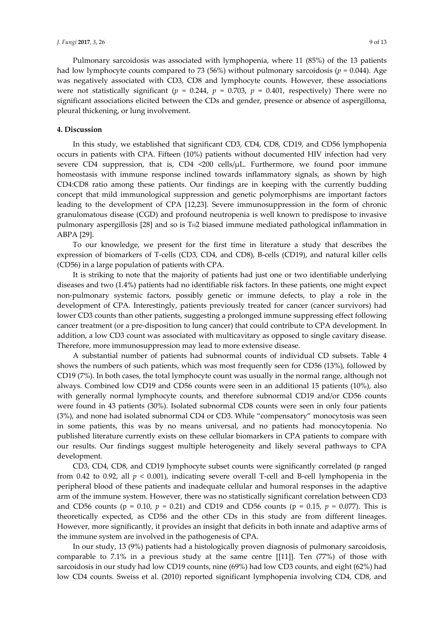Pulmonary sarcoidosis was associated with lymphopenia, where 11 (85%) of the 13 patients had low lymphocyte counts compared to 73 (56%) without pulmonary sarcoidosis (*p =* 0.044). Age was negatively associated with CD3, CD8 and lymphocyte counts. However, these associations were not statistically significant ( $p = 0.244$ ,  $p = 0.703$ ,  $p = 0.401$ , respectively) There were no significant associations elicited between the CDs and gender, presence or absence of aspergilloma, pleural thickening, or lung involvement.

#### **4. Discussion**

In this study, we established that significant CD3, CD4, CD8, CD19, and CD56 lymphopenia occurs in patients with CPA. Fifteen (10%) patients without documented HIV infection had very severe CD4 suppression, that is, CD4  $\langle 200 \text{ cells/µL}$ . Furthermore, we found poor immune homeostasis with immune response inclined towards inflammatory signals, as shown by high CD4:CD8 ratio among these patients. Our findings are in keeping with the currently budding concept that mild immunological suppression and genetic polymorphisms are important factors leading to the development of CPA [12,23]. Severe immunosuppression in the form of chronic granulomatous disease (CGD) and profound neutropenia is well known to predispose to invasive pulmonary aspergillosis  $[28]$  and so is T $H2$  biased immune mediated pathological inflammation in ABPA [29].

To our knowledge, we present for the first time in literature a study that describes the expression of biomarkers of T-cells (CD3, CD4, and CD8), B-cells (CD19), and natural killer cells (CD56) in a large population of patients with CPA.

It is striking to note that the majority of patients had just one or two identifiable underlying diseases and two (1.4%) patients had no identifiable risk factors. In these patients, one might expect non-pulmonary systemic factors, possibly genetic or immune defects, to play a role in the development of CPA. Interestingly, patients previously treated for cancer (cancer survivors) had lower CD3 counts than other patients, suggesting a prolonged immune suppressing effect following cancer treatment (or a pre-disposition to lung cancer) that could contribute to CPA development. In addition, a low CD3 count was associated with multicavitary as opposed to single cavitary disease. Therefore, more immunosuppression may lead to more extensive disease.

A substantial number of patients had subnormal counts of individual CD subsets. Table 4 shows the numbers of such patients, which was most frequently seen for CD56 (13%), followed by CD19 (7%). In both cases, the total lymphocyte count was usually in the normal range, although not always. Combined low CD19 and CD56 counts were seen in an additional 15 patients (10%), also with generally normal lymphocyte counts, and therefore subnormal CD19 and/or CD56 counts were found in 43 patients (30%). Isolated subnormal CD8 counts were seen in only four patients (3%), and none had isolated subnormal CD4 or CD3. While "compensatory" monocytosis was seen in some patients, this was by no means universal, and no patients had monocytopenia. No published literature currently exists on these cellular biomarkers in CPA patients to compare with our results. Our findings suggest multiple heterogeneity and likely several pathways to CPA development.

CD3, CD4, CD8, and CD19 lymphocyte subset counts were significantly correlated (p ranged from 0.42 to 0.92, all  $p < 0.001$ ), indicating severe overall T-cell and B-cell lymphopenia in the peripheral blood of these patients and inadequate cellular and humoral responses in the adaptive arm of the immune system. However, there was no statistically significant correlation between CD3 and CD56 counts ( $p = 0.10$ ,  $p = 0.21$ ) and CD19 and CD56 counts ( $p = 0.15$ ,  $p = 0.077$ ). This is theoretically expected, as CD56 and the other CDs in this study are from different lineages. However, more significantly, it provides an insight that deficits in both innate and adaptive arms of the immune system are involved in the pathogenesis of CPA.

In our study, 13 (9%) patients had a histologically proven diagnosis of pulmonary sarcoidosis, comparable to 7.1% in a previous study at the same centre [[11]]. Ten (77%) of those with sarcoidosis in our study had low CD19 counts, nine (69%) had low CD3 counts, and eight (62%) had low CD4 counts. Sweiss et al. (2010) reported significant lymphopenia involving CD4, CD8, and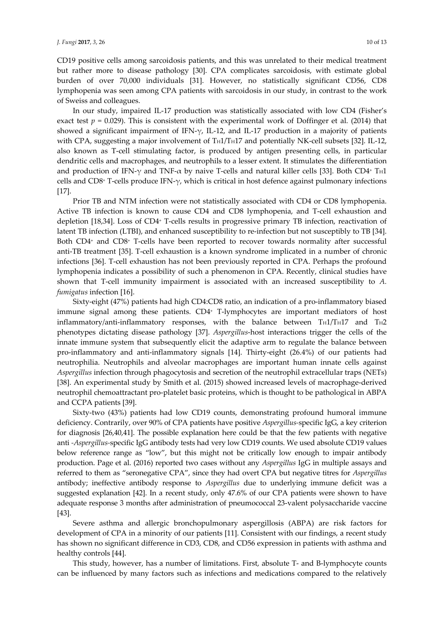CD19 positive cells among sarcoidosis patients, and this was unrelated to their medical treatment but rather more to disease pathology [30]. CPA complicates sarcoidosis, with estimate global burden of over 70,000 individuals [31]. However, no statistically significant CD56, CD8 lymphopenia was seen among CPA patients with sarcoidosis in our study, in contrast to the work of Sweiss and colleagues.

In our study, impaired IL-17 production was statistically associated with low CD4 (Fisher's exact test  $p = 0.029$ ). This is consistent with the experimental work of Doffinger et al. (2014) that showed a significant impairment of IFN-γ, IL-12, and IL-17 production in a majority of patients with CPA, suggesting a major involvement of TH1/TH17 and potentially NK-cell subsets [32]. IL-12, also known as T-cell stimulating factor, is produced by antigen presenting cells, in particular dendritic cells and macrophages, and neutrophils to a lesser extent. It stimulates the differentiation and production of IFN- $\gamma$  and TNF- $\alpha$  by naive T-cells and natural killer cells [33]. Both CD4<sup>+</sup> T<sub>H</sub>1 cells and CD8+ T-cells produce IFN-γ, which is critical in host defence against pulmonary infections [17].

Prior TB and NTM infection were not statistically associated with CD4 or CD8 lymphopenia. Active TB infection is known to cause CD4 and CD8 lymphopenia, and T-cell exhaustion and depletion [18,34]. Loss of CD4+ T-cells results in progressive primary TB infection, reactivation of latent TB infection (LTBI), and enhanced susceptibility to re-infection but not susceptibly to TB [34]. Both CD4+ and CD8+ T-cells have been reported to recover towards normality after successful anti-TB treatment [35]. T-cell exhaustion is a known syndrome implicated in a number of chronic infections [36]. T-cell exhaustion has not been previously reported in CPA. Perhaps the profound lymphopenia indicates a possibility of such a phenomenon in CPA. Recently, clinical studies have shown that T-cell immunity impairment is associated with an increased susceptibility to *A. fumigatus* infection [16].

Sixty-eight (47%) patients had high CD4:CD8 ratio, an indication of a pro-inflammatory biased immune signal among these patients. CD4+ T-lymphocytes are important mediators of host inflammatory/anti-inflammatory responses, with the balance between  $T_H1/T_H17$  and  $T_H2$ phenotypes dictating disease pathology [37]. *Aspergillus*-host interactions trigger the cells of the innate immune system that subsequently elicit the adaptive arm to regulate the balance between pro-inflammatory and anti-inflammatory signals [14]. Thirty-eight (26.4%) of our patients had neutrophilia. Neutrophils and alveolar macrophages are important human innate cells against *Aspergillus* infection through phagocytosis and secretion of the neutrophil extracellular traps (NETs) [38]. An experimental study by Smith et al. (2015) showed increased levels of macrophage-derived neutrophil chemoattractant pro-platelet basic proteins, which is thought to be pathological in ABPA and CCPA patients [39].

Sixty-two (43%) patients had low CD19 counts, demonstrating profound humoral immune deficiency. Contrarily, over 90% of CPA patients have positive *Aspergillus-*specific IgG, a key criterion for diagnosis [26,40,41]. The possible explanation here could be that the few patients with negative anti *-Aspergillus-*specific IgG antibody tests had very low CD19 counts. We used absolute CD19 values below reference range as "low", but this might not be critically low enough to impair antibody production. Page et al. (2016) reported two cases without any *Aspergillus* IgG in multiple assays and referred to them as "seronegative CPA", since they had overt CPA but negative titres for *Aspergillus*  antibody; ineffective antibody response to *Aspergillus* due to underlying immune deficit was a suggested explanation [42]. In a recent study, only 47.6% of our CPA patients were shown to have adequate response 3 months after administration of pneumococcal 23-valent polysaccharide vaccine [43].

Severe asthma and allergic bronchopulmonary aspergillosis (ABPA) are risk factors for development of CPA in a minority of our patients [11]. Consistent with our findings, a recent study has shown no significant difference in CD3, CD8, and CD56 expression in patients with asthma and healthy controls [44].

This study, however, has a number of limitations. First, absolute T- and B-lymphocyte counts can be influenced by many factors such as infections and medications compared to the relatively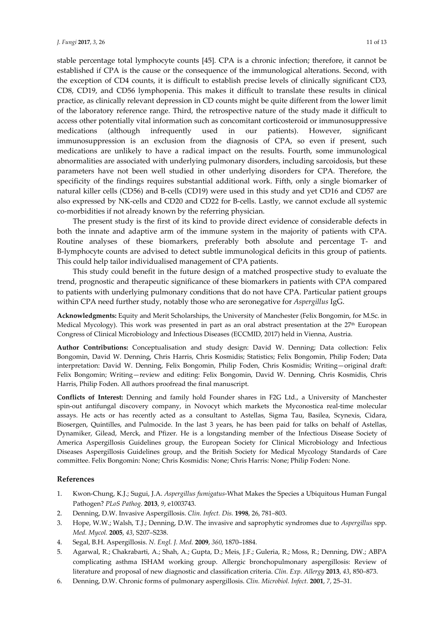stable percentage total lymphocyte counts [45]. CPA is a chronic infection; therefore, it cannot be established if CPA is the cause or the consequence of the immunological alterations. Second, with the exception of CD4 counts, it is difficult to establish precise levels of clinically significant CD3, CD8, CD19, and CD56 lymphopenia. This makes it difficult to translate these results in clinical practice, as clinically relevant depression in CD counts might be quite different from the lower limit of the laboratory reference range. Third, the retrospective nature of the study made it difficult to access other potentially vital information such as concomitant corticosteroid or immunosuppressive medications (although infrequently used in our patients). However, significant immunosuppression is an exclusion from the diagnosis of CPA, so even if present, such medications are unlikely to have a radical impact on the results. Fourth, some immunological abnormalities are associated with underlying pulmonary disorders, including sarcoidosis, but these parameters have not been well studied in other underlying disorders for CPA. Therefore, the specificity of the findings requires substantial additional work. Fifth, only a single biomarker of natural killer cells (CD56) and B-cells (CD19) were used in this study and yet CD16 and CD57 are also expressed by NK-cells and CD20 and CD22 for B-cells. Lastly, we cannot exclude all systemic co-morbidities if not already known by the referring physician.

The present study is the first of its kind to provide direct evidence of considerable defects in both the innate and adaptive arm of the immune system in the majority of patients with CPA. Routine analyses of these biomarkers, preferably both absolute and percentage T- and B-lymphocyte counts are advised to detect subtle immunological deficits in this group of patients. This could help tailor individualised management of CPA patients.

This study could benefit in the future design of a matched prospective study to evaluate the trend, prognostic and therapeutic significance of these biomarkers in patients with CPA compared to patients with underlying pulmonary conditions that do not have CPA. Particular patient groups within CPA need further study, notably those who are seronegative for *Aspergillus* IgG.

**Acknowledgments:** Equity and Merit Scholarships, the University of Manchester (Felix Bongomin, for M.Sc. in Medical Mycology). This work was presented in part as an oral abstract presentation at the 27<sup>th</sup> European Congress of Clinical Microbiology and Infectious Diseases (ECCMID, 2017) held in Vienna, Austria.

**Author Contributions:** Conceptualisation and study design: David W. Denning; Data collection: Felix Bongomin, David W. Denning, Chris Harris, Chris Kosmidis; Statistics; Felix Bongomin, Philip Foden; Data interpretation: David W. Denning, Felix Bongomin, Philip Foden, Chris Kosmidis; Writing—original draft: Felix Bongomin; Writing—review and editing: Felix Bongomin, David W. Denning, Chris Kosmidis, Chris Harris, Philip Foden. All authors proofread the final manuscript.

**Conflicts of Interest:** Denning and family hold Founder shares in F2G Ltd., a University of Manchester spin-out antifungal discovery company, in Novocyt which markets the Myconostica real-time molecular assays. He acts or has recently acted as a consultant to Astellas, Sigma Tau, Basilea, Scynexis, Cidara, Biosergen, Quintilles, and Pulmocide. In the last 3 years, he has been paid for talks on behalf of Astellas, Dynamiker, Gilead, Merck, and Pfizer. He is a longstanding member of the Infectious Disease Society of America Aspergillosis Guidelines group, the European Society for Clinical Microbiology and Infectious Diseases Aspergillosis Guidelines group, and the British Society for Medical Mycology Standards of Care committee. Felix Bongomin: None; Chris Kosmidis: None; Chris Harris: None; Philip Foden: None.

# **References**

- 1. Kwon-Chung, K.J.; Sugui, J.A. *Aspergillus fumigatus*-What Makes the Species a Ubiquitous Human Fungal Pathogen? *PLoS Pathog.* **2013**, *9*, e1003743.
- 2. Denning, D.W. Invasive Aspergillosis. *Clin. Infect. Dis.* **1998**, 26, 781–803.
- 3. Hope, W.W.; Walsh, T.J.; Denning, D.W. The invasive and saprophytic syndromes due to *Aspergillus* spp. *Med. Mycol.* **2005**, *43*, S207–S238.
- 4. Segal, B.H. Aspergillosis. *N. Engl. J. Med.* **2009**, *360*, 1870–1884.
- 5. Agarwal, R.; Chakrabarti, A.; Shah, A.; Gupta, D.; Meis, J.F.; Guleria, R.; Moss, R.; Denning, DW.; ABPA complicating asthma ISHAM working group. Allergic bronchopulmonary aspergillosis: Review of literature and proposal of new diagnostic and classification criteria. *Clin. Exp. Allergy* **2013**, *43*, 850–873.
- 6. Denning, D.W. Chronic forms of pulmonary aspergillosis. *Clin. Microbiol. Infect.* **2001**, *7*, 25–31.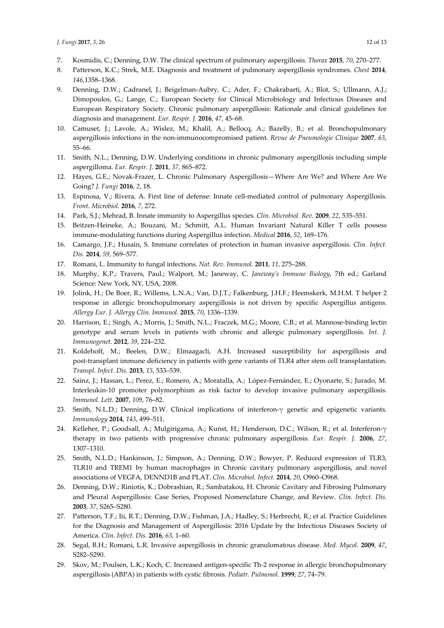- 7. Kosmidis, C.; Denning, D.W. The clinical spectrum of pulmonary aspergillosis. *Thorax* **2015**, *70*, 270–277.
- 8. Patterson, K.C.; Strek, M.E. Diagnosis and treatment of pulmonary aspergillosis syndromes. *Chest* **2014**, *146*,1358–1368.
- 9. Denning, D.W.; Cadranel, J.; Beigelman-Aubry, C.; Ader, F.; Chakrabarti, A.; Blot, S.; Ullmann, A.J.; Dimopoulos, G.; Lange, C.; European Society for Clinical Microbiology and Infectious Diseases and European Respiratory Society. Chronic pulmonary aspergillosis: Rationale and clinical guidelines for diagnosis and management. *Eur. Respir. J.* **2016**, *47*, 45–68.
- 10. Camuset, J.; Lavole, A.; Wislez, M.; Khalil, A.; Bellocq, A.; Bazelly, B.; et al. Bronchopulmonary aspergillosis infections in the non-immunocompromised patient. *Revue de Pneumologie Clinique* **2007**, *63*, 55–66.
- 11. Smith, N.L.; Denning, D.W. Underlying conditions in chronic pulmonary aspergillosis including simple aspergilloma. *Eur. Respir. J.* **2011**, *37*, 865–872.
- 12. Hayes, G.E.; Novak-Frazer, L. Chronic Pulmonary Aspergillosis—Where Are We? and Where Are We Going? *J. Fungi* **2016**, *2*, 18.
- 13. Espinosa, V.; Rivera, A. First line of defense: Innate cell-mediated control of pulmonary Aspergillosis. *Front. Microbiol.* **2016**, *7*, 272.
- 14. Park, S.J.; Mehrad, B. Innate immunity to Aspergillus species. *Clin. Microbiol. Rev.* **2009**, *22*, 535–551.
- 15. Beitzen-Heineke, A.; Bouzani, M.; Schmitt, A.L. Human Invariant Natural Killer T cells possess immune-modulating functions during Aspergillus infection. *Medical* **2016**, *52*, 169–176.
- 16. Camargo, J.F.; Husain, S. Immune correlates of protection in human invasive aspergillosis. *Clin. Infect. Dis.* **2014**, *59*, 569–577.
- 17. Romani, L. Immunity to fungal infections. *Nat. Rev. Immunol.* **2011**, *11*, 275–288.
- 18. Murphy, K.P.; Travers, Paul.; Walport, M.; Janeway, C. *Janeway's Immuno Biology*, 7th ed.; Garland Science: New York, NY, USA, 2008.
- 19. Jolink, H.; De Boer, R.; Willems, L.N.A.; Van, D.J.T.; Falkenburg, J.H.F.; Heemskerk, M.H.M. T helper 2 response in allergic bronchopulmonary aspergillosis is not driven by specific Aspergillus antigens. *Allergy Eur. J. Allergy Clin. Immunol.* **2015**, *70*, 1336–1339.
- 20. Harrison, E.; Singh, A.; Morris, J.; Smith, N.L.; Fraczek, M.G.; Moore, C.B.; et al. Mannose-binding lectin genotype and serum levels in patients with chronic and allergic pulmonary aspergillosis. *Int. J. Immunogenet*. **2012**, *39*, 224–232.
- 21. Koldehoff, M.; Beelen, D.W.; Elmaagacli, A.H. Increased susceptibility for aspergillosis and post-transplant immune deficiency in patients with gene variants of TLR4 after stem cell transplantation. *Transpl. Infect. Dis.* **2013**, *15*, 533–539.
- 22. Sainz, J.; Hassan, L.; Perez, E.; Romero, A.; Moratalla, A.; López-Fernández, E.; Oyonarte, S.; Jurado, M. Interleukin-10 promoter polymorphism as risk factor to develop invasive pulmonary aspergillosis. *Immunol. Lett.* **2007**, *109*, 76–82.
- 23. Smith, N.L.D.; Denning, D.W. Clinical implications of interferon-γ genetic and epigenetic variants. *Immunology* **2014**, *143*, 499–511.
- 24. Kelleher, P.; Goodsall, A.; Mulgirigama, A.; Kunst, H.; Henderson, D.C.; Wilson, R.; et al. Interferon-γ therapy in two patients with progressive chronic pulmonary aspergillosis. *Eur. Respir. J.* **2006**, *27*, 1307–1310.
- 25. Smith, N.L.D.; Hankinson, J.; Simpson, A.; Denning, D.W.; Bowyer, P. Reduced expression of TLR3, TLR10 and TREM1 by human macrophages in Chronic cavitary pulmonary aspergillosis, and novel associations of VEGFA, DENND1B and PLAT. *Clin. Microbiol. Infect.* **2014**, *20*, O960–O968.
- 26. Denning, D.W.; Riniotis, K.; Dobrashian, R.; Sambatakou, H. Chronic Cavitary and Fibrosing Pulmonary and Pleural Aspergillosis: Case Series, Proposed Nomenclature Change, and Review. *Clin. Infect. Dis.* **2003**, *37*, S265–S280.
- 27. Patterson, T.F.; Iii, R.T.; Denning, D.W.; Fishman, J.A.; Hadley, S.; Herbrecht, R.; et al. Practice Guidelines for the Diagnosis and Management of Aspergillosis: 2016 Update by the Infectious Diseases Society of America. *Clin. Infect. Dis.* **2016**, *63*, 1–60.
- 28. Segal, B.H.; Romani, L.R. Invasive aspergillosis in chronic granulomatous disease. *Med. Mycol.* **2009**, *47*, S282–S290.
- 29. Skov, M.; Poulsen, L.K.; Koch, C. Increased antigen-specific Th-2 response in allergic bronchopulmonary aspergillosis (ABPA) in patients with cystic fibrosis. *Pediatr. Pulmonol.* **1999**, *27*, 74–79.